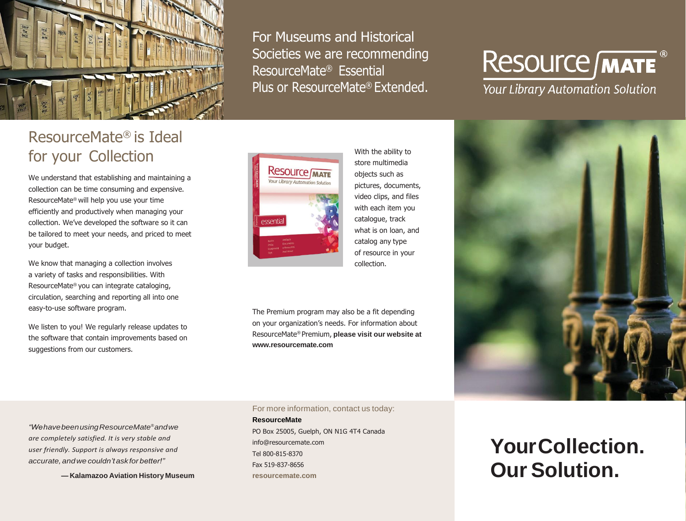

For Museums and Historical Societies we are recommending ResourceMate® Essential Plus or ResourceMate® Extended.

ResourceMate® is Ideal for your Collection

We understand that establishing and maintaining a collection can be time consuming and expensive. ResourceMate® will help you use your time efficiently and productively when managing your collection. We've developed the software so it can be tailored to meet your needs, and priced to meet your budget.

We know that managing a collection involves a variety of tasks and responsibilities. With ResourceMate® you can integrate cataloging, circulation, searching and reporting all into one easy-to-use software program.

We listen to you! We regularly release updates to the software that contain improvements based on suggestions from our customers.



With the ability to store multimedia objects such as pictures, documents, video clips, and files with each item you catalogue, track what is on loan, and catalog any type of resource in your collection.

The Premium program may also be a fit depending on your organization's needs. For information about ResourceMate® Premium, **please visit our website at [www.resourcemate.com](http://www.resourcemate.com/)**

**Resource MATE** 

**Your Library Automation Solution** 



*"WehavebeenusingResourceMate®andwe are completely satisfied. It is very stable and user friendly. Support is always responsive and accurate, andwecouldn't askforbetter!"*

**— Kalamazoo Aviation History Museum**

For more information, contact us today:

**ResourceMate** PO Box 25005, Guelph, ON N1G 4T4 Canada [info@resourcemate.com](mailto:info@resourcemate.com) Tel 800-815-8370 Fax 519-837-8656 **resourcemate.com**

**YourCollection. Our Solution.**